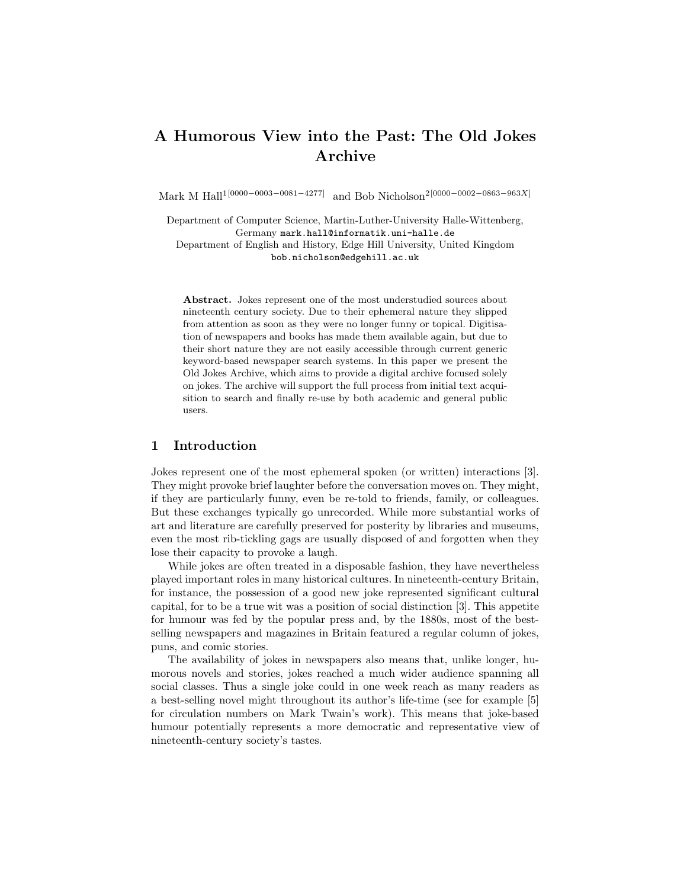# A Humorous View into the Past: The Old Jokes Archive

Mark M Hall<sup>1[0000–0003–0081–4277]</sup> and Bob Nicholson<sup>2[0000–0002–0863–963X]</sup>

Department of Computer Science, Martin-Luther-University Halle-Wittenberg, Germany mark.hall@informatik.uni-halle.de

Department of English and History, Edge Hill University, United Kingdom bob.nicholson@edgehill.ac.uk

Abstract. Jokes represent one of the most understudied sources about nineteenth century society. Due to their ephemeral nature they slipped from attention as soon as they were no longer funny or topical. Digitisation of newspapers and books has made them available again, but due to their short nature they are not easily accessible through current generic keyword-based newspaper search systems. In this paper we present the Old Jokes Archive, which aims to provide a digital archive focused solely on jokes. The archive will support the full process from initial text acquisition to search and finally re-use by both academic and general public users.

#### 1 Introduction

Jokes represent one of the most ephemeral spoken (or written) interactions [3]. They might provoke brief laughter before the conversation moves on. They might, if they are particularly funny, even be re-told to friends, family, or colleagues. But these exchanges typically go unrecorded. While more substantial works of art and literature are carefully preserved for posterity by libraries and museums, even the most rib-tickling gags are usually disposed of and forgotten when they lose their capacity to provoke a laugh.

While jokes are often treated in a disposable fashion, they have nevertheless played important roles in many historical cultures. In nineteenth-century Britain, for instance, the possession of a good new joke represented significant cultural capital, for to be a true wit was a position of social distinction [3]. This appetite for humour was fed by the popular press and, by the 1880s, most of the bestselling newspapers and magazines in Britain featured a regular column of jokes, puns, and comic stories.

The availability of jokes in newspapers also means that, unlike longer, humorous novels and stories, jokes reached a much wider audience spanning all social classes. Thus a single joke could in one week reach as many readers as a best-selling novel might throughout its author's life-time (see for example [5] for circulation numbers on Mark Twain's work). This means that joke-based humour potentially represents a more democratic and representative view of nineteenth-century society's tastes.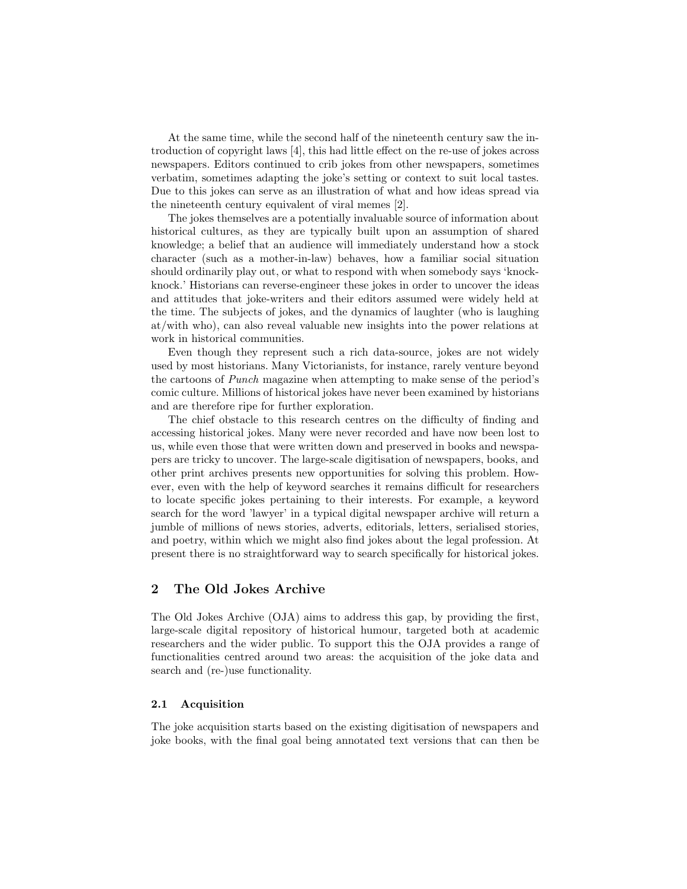At the same time, while the second half of the nineteenth century saw the introduction of copyright laws [4], this had little effect on the re-use of jokes across newspapers. Editors continued to crib jokes from other newspapers, sometimes verbatim, sometimes adapting the joke's setting or context to suit local tastes. Due to this jokes can serve as an illustration of what and how ideas spread via the nineteenth century equivalent of viral memes [2].

The jokes themselves are a potentially invaluable source of information about historical cultures, as they are typically built upon an assumption of shared knowledge; a belief that an audience will immediately understand how a stock character (such as a mother-in-law) behaves, how a familiar social situation should ordinarily play out, or what to respond with when somebody says 'knockknock.' Historians can reverse-engineer these jokes in order to uncover the ideas and attitudes that joke-writers and their editors assumed were widely held at the time. The subjects of jokes, and the dynamics of laughter (who is laughing at/with who), can also reveal valuable new insights into the power relations at work in historical communities.

Even though they represent such a rich data-source, jokes are not widely used by most historians. Many Victorianists, for instance, rarely venture beyond the cartoons of Punch magazine when attempting to make sense of the period's comic culture. Millions of historical jokes have never been examined by historians and are therefore ripe for further exploration.

The chief obstacle to this research centres on the difficulty of finding and accessing historical jokes. Many were never recorded and have now been lost to us, while even those that were written down and preserved in books and newspapers are tricky to uncover. The large-scale digitisation of newspapers, books, and other print archives presents new opportunities for solving this problem. However, even with the help of keyword searches it remains difficult for researchers to locate specific jokes pertaining to their interests. For example, a keyword search for the word 'lawyer' in a typical digital newspaper archive will return a jumble of millions of news stories, adverts, editorials, letters, serialised stories, and poetry, within which we might also find jokes about the legal profession. At present there is no straightforward way to search specifically for historical jokes.

## 2 The Old Jokes Archive

The Old Jokes Archive (OJA) aims to address this gap, by providing the first, large-scale digital repository of historical humour, targeted both at academic researchers and the wider public. To support this the OJA provides a range of functionalities centred around two areas: the acquisition of the joke data and search and (re-)use functionality.

#### 2.1 Acquisition

The joke acquisition starts based on the existing digitisation of newspapers and joke books, with the final goal being annotated text versions that can then be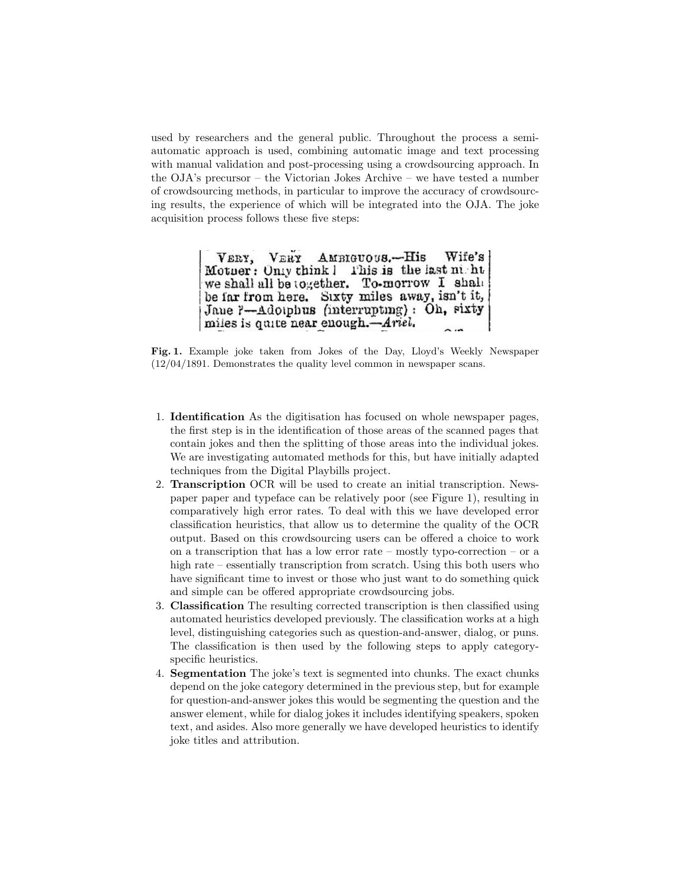used by researchers and the general public. Throughout the process a semiautomatic approach is used, combining automatic image and text processing with manual validation and post-processing using a crowdsourcing approach. In the OJA's precursor – the Victorian Jokes Archive – we have tested a number of crowdsourcing methods, in particular to improve the accuracy of crowdsourcing results, the experience of which will be integrated into the OJA. The joke acquisition process follows these five steps:

> VERY. VERY AMBIGUOUS.-His Wife's Motuer: Only think I This is the last night we shall all be together. To-morrow I shall be far from here. Sixty miles away, isn't it, Jane ?- Adolphus (interrupting): Oh, sixty miles is quite near enough.-Ariel.

Fig. 1. Example joke taken from Jokes of the Day, Lloyd's Weekly Newspaper (12/04/1891. Demonstrates the quality level common in newspaper scans.

- 1. Identification As the digitisation has focused on whole newspaper pages, the first step is in the identification of those areas of the scanned pages that contain jokes and then the splitting of those areas into the individual jokes. We are investigating automated methods for this, but have initially adapted techniques from the Digital Playbills project.
- 2. Transcription OCR will be used to create an initial transcription. Newspaper paper and typeface can be relatively poor (see Figure 1), resulting in comparatively high error rates. To deal with this we have developed error classification heuristics, that allow us to determine the quality of the OCR output. Based on this crowdsourcing users can be offered a choice to work on a transcription that has a low error rate – mostly typo-correction – or a high rate – essentially transcription from scratch. Using this both users who have significant time to invest or those who just want to do something quick and simple can be offered appropriate crowdsourcing jobs.
- 3. Classification The resulting corrected transcription is then classified using automated heuristics developed previously. The classification works at a high level, distinguishing categories such as question-and-answer, dialog, or puns. The classification is then used by the following steps to apply categoryspecific heuristics.
- 4. Segmentation The joke's text is segmented into chunks. The exact chunks depend on the joke category determined in the previous step, but for example for question-and-answer jokes this would be segmenting the question and the answer element, while for dialog jokes it includes identifying speakers, spoken text, and asides. Also more generally we have developed heuristics to identify joke titles and attribution.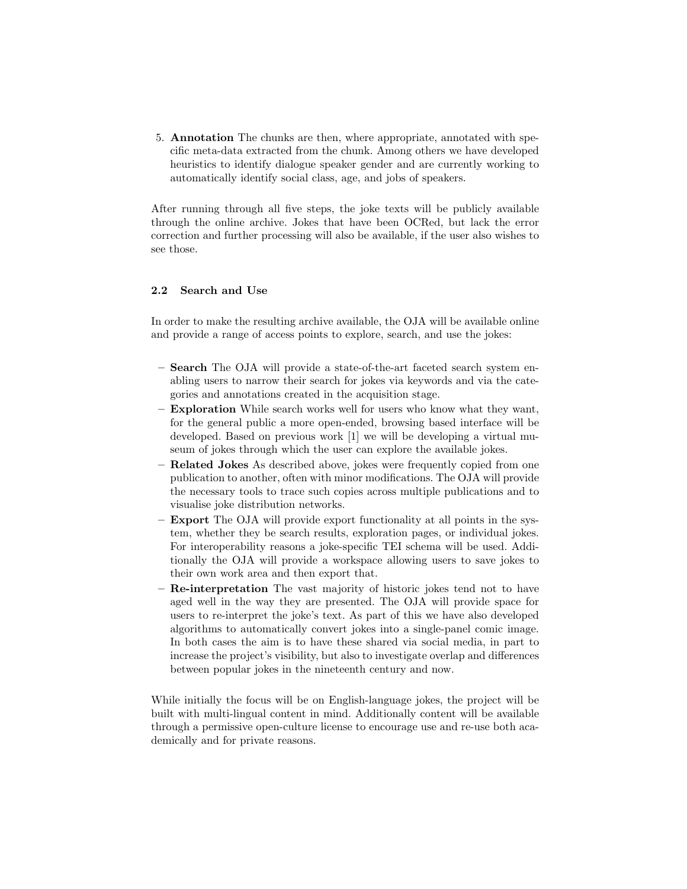5. Annotation The chunks are then, where appropriate, annotated with specific meta-data extracted from the chunk. Among others we have developed heuristics to identify dialogue speaker gender and are currently working to automatically identify social class, age, and jobs of speakers.

After running through all five steps, the joke texts will be publicly available through the online archive. Jokes that have been OCRed, but lack the error correction and further processing will also be available, if the user also wishes to see those.

#### 2.2 Search and Use

In order to make the resulting archive available, the OJA will be available online and provide a range of access points to explore, search, and use the jokes:

- Search The OJA will provide a state-of-the-art faceted search system enabling users to narrow their search for jokes via keywords and via the categories and annotations created in the acquisition stage.
- Exploration While search works well for users who know what they want, for the general public a more open-ended, browsing based interface will be developed. Based on previous work [1] we will be developing a virtual museum of jokes through which the user can explore the available jokes.
- Related Jokes As described above, jokes were frequently copied from one publication to another, often with minor modifications. The OJA will provide the necessary tools to trace such copies across multiple publications and to visualise joke distribution networks.
- Export The OJA will provide export functionality at all points in the system, whether they be search results, exploration pages, or individual jokes. For interoperability reasons a joke-specific TEI schema will be used. Additionally the OJA will provide a workspace allowing users to save jokes to their own work area and then export that.
- Re-interpretation The vast majority of historic jokes tend not to have aged well in the way they are presented. The OJA will provide space for users to re-interpret the joke's text. As part of this we have also developed algorithms to automatically convert jokes into a single-panel comic image. In both cases the aim is to have these shared via social media, in part to increase the project's visibility, but also to investigate overlap and differences between popular jokes in the nineteenth century and now.

While initially the focus will be on English-language jokes, the project will be built with multi-lingual content in mind. Additionally content will be available through a permissive open-culture license to encourage use and re-use both academically and for private reasons.